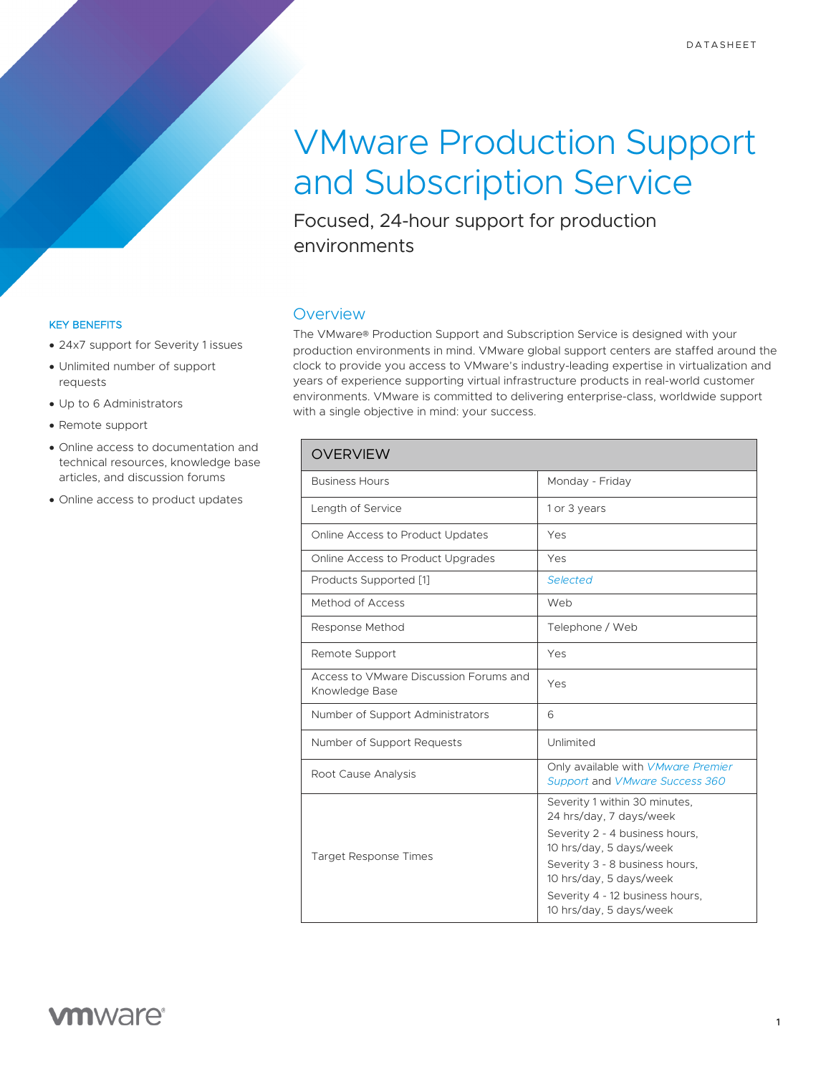# VMware Production Support and Subscription Service

Focused, 24-hour support for production environments

## **Overview**

The VMware® Production Support and Subscription Service is designed with your production environments in mind. VMware global support centers are staffed around the clock to provide you access to VMware's industry-leading expertise in virtualization and years of experience supporting virtual infrastructure products in real-world customer environments. VMware is committed to delivering enterprise-class, worldwide support with a single objective in mind: your success.

| <b>OVERVIEW</b>                                          |                                                                                                                                                                                                                                                  |
|----------------------------------------------------------|--------------------------------------------------------------------------------------------------------------------------------------------------------------------------------------------------------------------------------------------------|
| <b>Business Hours</b>                                    | Monday - Friday                                                                                                                                                                                                                                  |
| Length of Service                                        | 1 or 3 years                                                                                                                                                                                                                                     |
| Online Access to Product Updates                         | Yes                                                                                                                                                                                                                                              |
| Online Access to Product Upgrades                        | Yes                                                                                                                                                                                                                                              |
| Products Supported [1]                                   | Selected                                                                                                                                                                                                                                         |
| Method of Access                                         | Web                                                                                                                                                                                                                                              |
| Response Method                                          | Telephone / Web                                                                                                                                                                                                                                  |
| Remote Support                                           | Yes                                                                                                                                                                                                                                              |
| Access to VMware Discussion Forums and<br>Knowledge Base | Yes                                                                                                                                                                                                                                              |
| Number of Support Administrators                         | 6                                                                                                                                                                                                                                                |
| Number of Support Requests                               | Unlimited                                                                                                                                                                                                                                        |
| Root Cause Analysis                                      | Only available with VMware Premier<br>Support and VMware Success 360                                                                                                                                                                             |
| <b>Target Response Times</b>                             | Severity 1 within 30 minutes,<br>24 hrs/day, 7 days/week<br>Severity 2 - 4 business hours,<br>10 hrs/day, 5 days/week<br>Severity 3 - 8 business hours,<br>10 hrs/day, 5 days/week<br>Severity 4 - 12 business hours,<br>10 hrs/day, 5 days/week |

#### KEY BENEFITS

- 24x7 support for Severity 1 issues
- Unlimited number of support requests
- Up to 6 Administrators
- Remote support
- Online access to documentation and technical resources, knowledge base articles, and discussion forums
- Online access to product updates